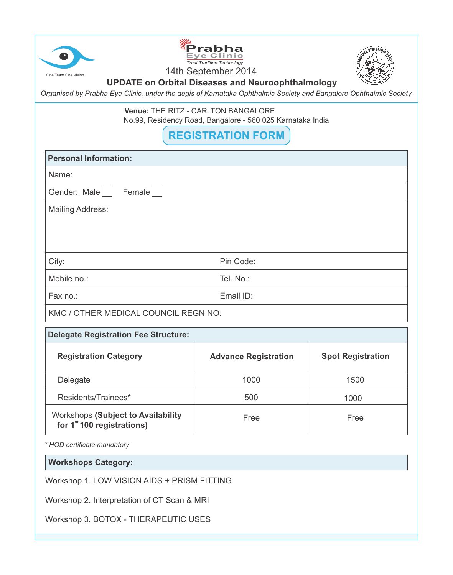| Eve Clinic<br>Trust. Tradition. Technology<br>14th September 2014<br>One Team One Vision<br><b>UPDATE on Orbital Diseases and Neuroophthalmology</b><br>Organised by Prabha Eye Clinic, under the aegis of Karnataka Ophthalmic Society and Bangalore Ophthalmic Society |                             |                          |  |  |
|--------------------------------------------------------------------------------------------------------------------------------------------------------------------------------------------------------------------------------------------------------------------------|-----------------------------|--------------------------|--|--|
| <b>Venue: THE RITZ - CARLTON BANGALORE</b><br>No.99, Residency Road, Bangalore - 560 025 Karnataka India                                                                                                                                                                 |                             |                          |  |  |
| <b>REGISTRATION FORM</b>                                                                                                                                                                                                                                                 |                             |                          |  |  |
| <b>Personal Information:</b>                                                                                                                                                                                                                                             |                             |                          |  |  |
| Name:                                                                                                                                                                                                                                                                    |                             |                          |  |  |
| Gender: Male<br>Female                                                                                                                                                                                                                                                   |                             |                          |  |  |
| <b>Mailing Address:</b>                                                                                                                                                                                                                                                  |                             |                          |  |  |
| City:                                                                                                                                                                                                                                                                    | Pin Code:                   |                          |  |  |
| Mobile no.:<br>Tel. No.:                                                                                                                                                                                                                                                 |                             |                          |  |  |
| Email ID:<br>Fax no.:                                                                                                                                                                                                                                                    |                             |                          |  |  |
| KMC / OTHER MEDICAL COUNCIL REGN NO:                                                                                                                                                                                                                                     |                             |                          |  |  |
| <b>Delegate Registration Fee Structure:</b>                                                                                                                                                                                                                              |                             |                          |  |  |
| <b>Registration Category</b>                                                                                                                                                                                                                                             | <b>Advance Registration</b> | <b>Spot Registration</b> |  |  |
| Delegate                                                                                                                                                                                                                                                                 | 1000                        | 1500                     |  |  |
| Residents/Trainees*                                                                                                                                                                                                                                                      | 500                         | 1000                     |  |  |
| <b>Workshops (Subject to Availability</b><br>for $1st 100$ registrations)                                                                                                                                                                                                | Free                        | Free                     |  |  |
| * HOD certificate mandatory                                                                                                                                                                                                                                              |                             |                          |  |  |

**Workshops Category:**

Workshop 1. LOW VISION AIDS + PRISM FITTING

Workshop 2. Interpretation of CT Scan & MRI

Workshop 3. BOTOX - THERAPEUTIC USES